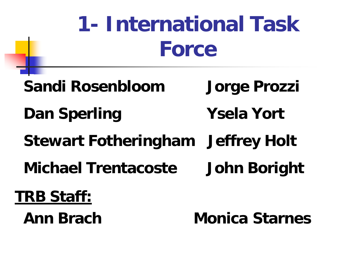## **1- International Task Force**

- **Sandi Rosenbloom Jorge Prozzi**
- **Dan Sperling Ysela Yort**
- **Stewart Fotheringham Jeffrey Holt**
- **Michael Trentacoste John Boright**

### **TRB Staff:**

 **Ann Brach Monica Starnes**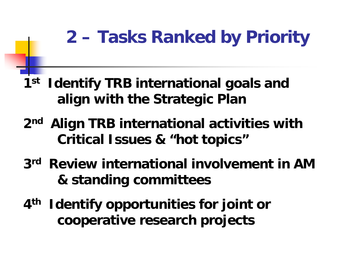### **2 – Tasks Ranked by Priority**

**1st Identify TRB international goals and align with the Strategic Plan**

and the state of the con-

- **2nd Align TRB international activities with Critical Issues & "hot topics"**
- **3rd Review international involvement in AM & standing committees**
- **4th Identify opportunities for joint or cooperative research projects**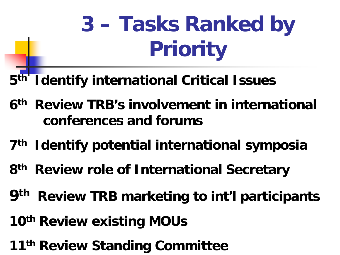# **3 – Tasks Ranked by Priority**

**5th Identify international Critical Issues**

- **6th Review TRB's involvement in international conferences and forums**
- **7th Identify potential international symposia**
- **8th Review role of International Secretary**
- **9th Review TRB marketing to int'l participants**
- **10th Review existing MOUs**
- **11th Review Standing Committee**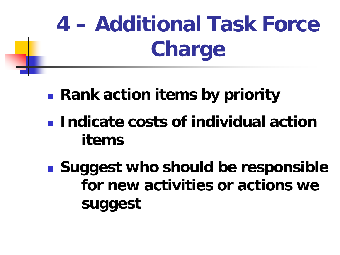# **4 – Additional Task Force Charge**

- **Rank action items by priority**
- **Indicate costs of individual action items**
- **Suggest who should be responsible for new activities or actions we suggest**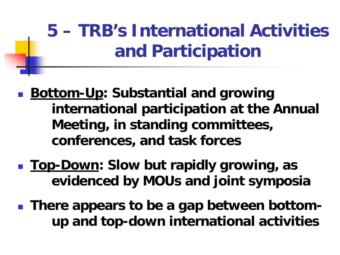### **5 – TRB's International Activities and Participation**

- <u>Bottom-Up</u>: Substantial and growing **international participation at the Annual Meeting, in standing committees, conferences, and task forces**
- <u>Top-Down</u>: Slow but rapidly growing, as **evidenced by MOUs and joint symposia**
- **There appears to be a gap between bottomup and top-down international activities**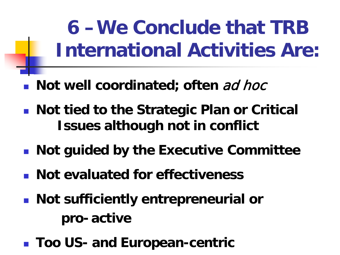**6 –We Conclude that TRB International Activities Are:**

- **Not well coordinated; often ad hoce**
- Not tied to the Strategic Plan or Critical **Issues although not in conflict**
- **Not guided by the Executive Committee**
- **Not evaluated for effectiveness**
- **Not sufficiently entrepreneurial or pro- active**
- **Too US- and European-centric**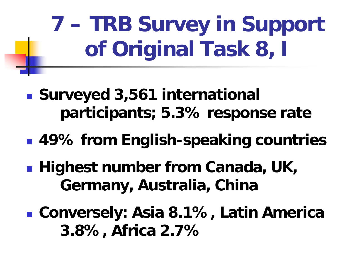# **7 – TRB Survey in Support of Original Task 8, I**

- **Surveyed 3,561 international participants; 5.3% response rate**
- **49% from English-speaking countries**
- **Highest number from Canada, UK, Germany, Australia, China**
- **Conversely: Asia 8.1%, Latin America 3.8%, Africa 2.7%**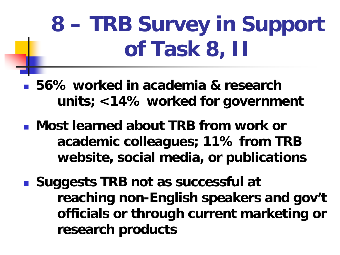## **8 – TRB Survey in Support of Task 8, II**

 **56% worked in academia & research units; <14% worked for government**

- **Most learned about TRB from work or academic colleagues; 11% from TRB website, social media, or publications**
- **Suggests TRB not as successful at reaching non-English speakers and gov't officials or through current marketing or research products**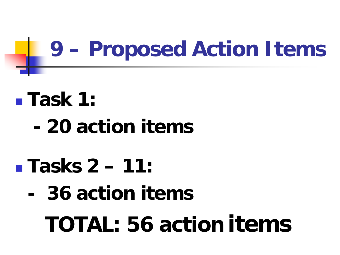## **9 – Proposed Action Items**

## **Task 1:**

**- 20 action items**

### **Tasks 2 – 11:**

## **- 36 action items**

 **TOTAL: 56 action items**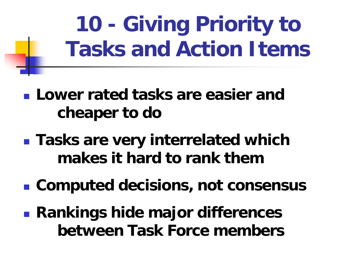**10 - Giving Priority to Tasks and Action Items**

- **Lower rated tasks are easier and cheaper to do**
- **Tasks are very interrelated which makes it hard to rank them**
- **Computed decisions, not consensus**
- **Rankings hide major differences between Task Force members**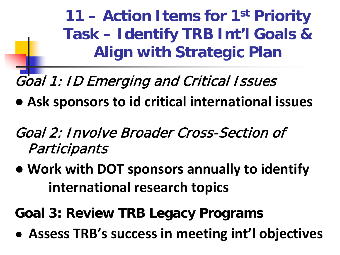**11 – Action Items for 1st Priority Task – Identify TRB Int'l Goals & Align with Strategic Plan**

Goal 1: ID Emerging and Critical Issues

- **● Ask sponsors to id critical international issues**
- Goal 2: Involve Broader Cross-Section of **Participants**
- *●* **Work with DOT sponsors annually to identify international research topics**

**Goal 3: Review TRB Legacy Programs**

*●* **Assess TRB's success in meeting int'l objectives**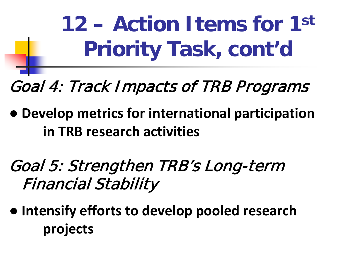**12 – Action Items for 1st Priority Task, cont'd**

Goal 4: Track Impacts of TRB Programs

- **● Develop metrics for international participation in TRB research activities**
- Goal 5: Strengthen TRB's Long-term Financial Stability
- *●* **Intensify efforts to develop pooled research projects**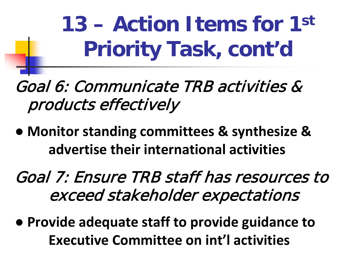**13 – Action Items for 1st Priority Task, cont'd**

Goal 6: Communicate TRB activities & products effectively

*●* **Monitor standing committees & synthesize & advertise their international activities**

Goal 7: Ensure TRB staff has resources to exceed stakeholder expectations

*●* **Provide adequate staff to provide guidance to Executive Committee on int'l activities**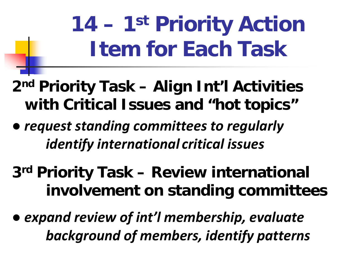# **14 – 1st Priority Action Item for Each Task**

#### **2nd Priority Task – Align Int'l Activities with Critical Issues and "hot topics"**

- **●** *request standing committees to regularly identify international critical issues*
- **3rd Priority Task – Review international involvement on standing committees**
- *● expand review of int'l membership, evaluate background of members, identify patterns*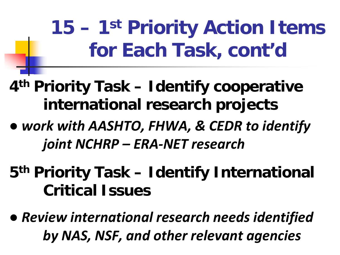**15 – 1st Priority Action Items for Each Task, cont'd**

#### **4th Priority Task – Identify cooperative international research projects**

- **●** *work with AASHTO, FHWA, & CEDR to identify joint NCHRP – ERA-NET research*
- **5th Priority Task – Identify International Critical Issues**
- *● Review international research needs identified by NAS, NSF, and other relevant agencies*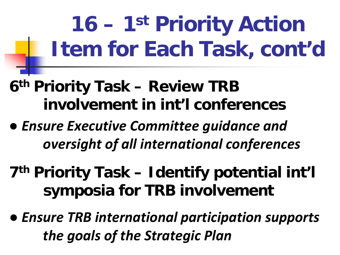**16 – 1st Priority Action Item for Each Task, cont'd**

- **6th Priority Task – Review TRB involvement in int'l conferences**
- **●** *Ensure Executive Committee guidance and oversight of all international conferences*
- **7th Priority Task – Identify potential int'l symposia for TRB involvement**
- *● Ensure TRB international participation supports the goals of the Strategic Plan*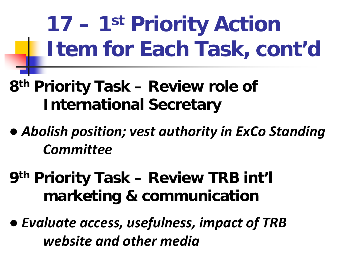**17 – 1st Priority Action Item for Each Task, cont'd**

#### **8th Priority Task – Review role of International Secretary**

- **●** *Abolish position; vest authority in ExCo Standing Committee*
- **9th Priority Task – Review TRB int'l marketing & communication**
- *● Evaluate access, usefulness, impact of TRB website and other media*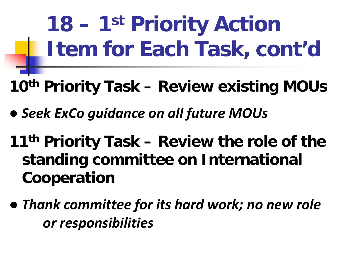**18 – 1st Priority Action Item for Each Task, cont'd**

- **10th Priority Task – Review existing MOUs**
- **●** *Seek ExCo guidance on all future MOUs*
- **11th Priority Task – Review the role of the standing committee on International Cooperation**
- *● Thank committee for its hard work; no new role or responsibilities*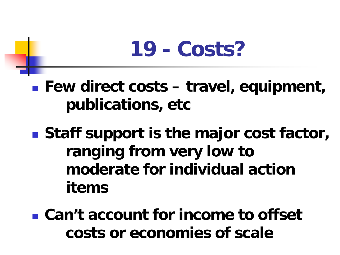## **19 - Costs?**

■ Few direct costs – travel, equipment, **publications, etc**

■ Staff support is the major cost factor, **ranging from very low to moderate for individual action items**

 **Can't account for income to offset costs or economies of scale**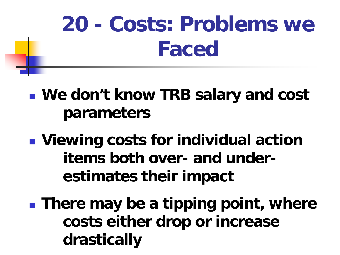## **20 - Costs: Problems we Faced**

- **We don't know TRB salary and cost parameters**
- **Viewing costs for individual action items both over- and underestimates their impact**
- **There may be a tipping point, where costs either drop or increase drastically**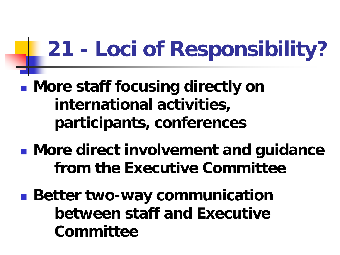## **21 - Loci of Responsibility?**

- **More staff focusing directly on international activities, participants, conferences**
- **More direct involvement and guidance from the Executive Committee**
- **Better two-way communication between staff and Executive Committee**